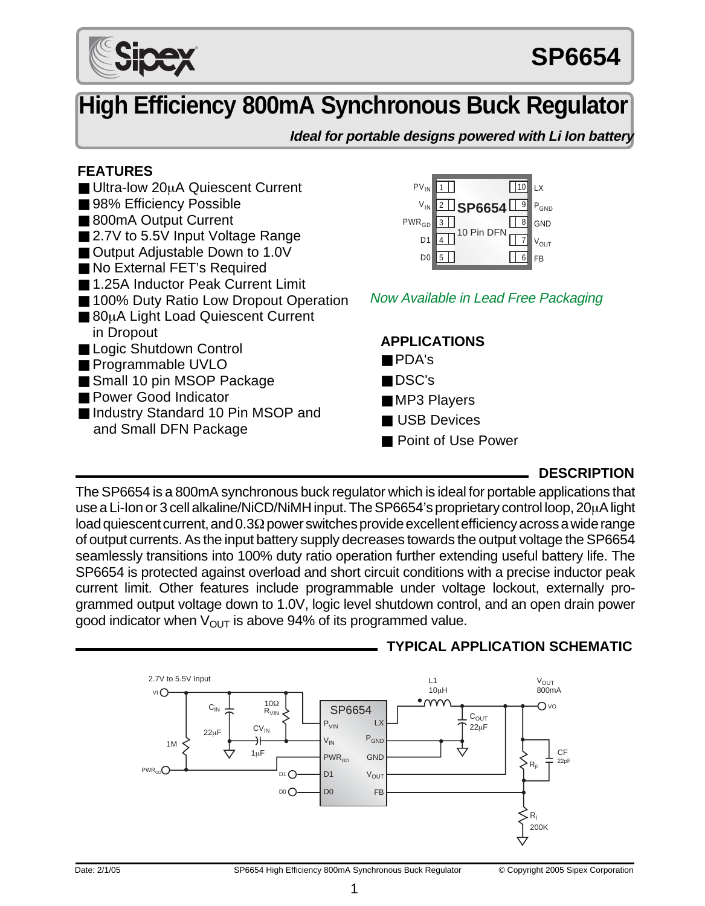

# **High Efficiency 800mA Synchronous Buck Regulator**

**Ideal for portable designs powered with Li Ion battery**

# **FEATURES**

- Ultra-low 20µA Quiescent Current
- 98% Efficiency Possible
- 800mA Output Current
- 2.7V to 5.5V Input Voltage Range
- Output Adjustable Down to 1.0V
- No External FET's Required
- 1.25A Inductor Peak Current Limit
- 100% Duty Ratio Low Dropout Operation
- 80µA Light Load Quiescent Current in Dropout
- Logic Shutdown Control
- Programmable UVLO
- Small 10 pin MSOP Package
- Power Good Indicator
- Industry Standard 10 Pin MSOP and and Small DFN Package



Now Available in Lead Free Packaging

## **APPLICATIONS** ■ PDA's

- DSC's
- MP3 Players
- USB Devices
- Point of Use Power

# **DESCRIPTION**

The SP6654 is a 800mA synchronous buck regulator which is ideal for portable applications that use a Li-Ion or 3 cell alkaline/NiCD/NiMH input. The SP6654's proprietary control loop, 20µA light load quiescent current, and 0.3Ω power switches provide excellent efficiency across a wide range of output currents. As the input battery supply decreases towards the output voltage the SP6654 seamlessly transitions into 100% duty ratio operation further extending useful battery life. The SP6654 is protected against overload and short circuit conditions with a precise inductor peak current limit. Other features include programmable under voltage lockout, externally programmed output voltage down to 1.0V, logic level shutdown control, and an open drain power good indicator when  $V_{\text{OUT}}$  is above 94% of its programmed value.



# **TYPICAL APPLICATION SCHEMATIC**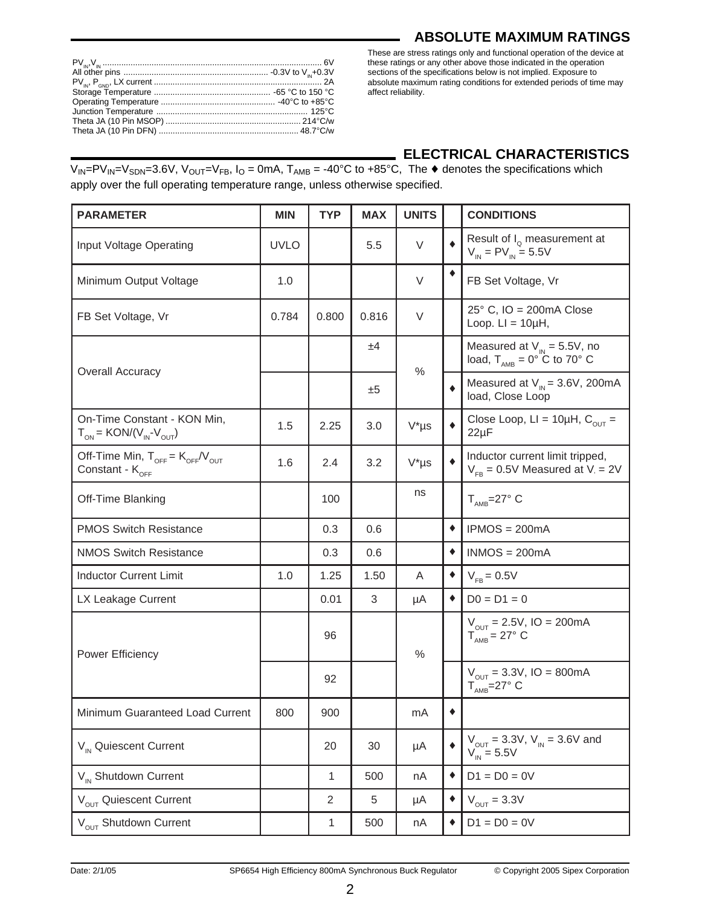#### **ABSOLUTE MAXIMUM RATINGS**

These are stress ratings only and functional operation of the device at these ratings or any other above those indicated in the operation sections of the specifications below is not implied. Exposure to absolute maximum rating conditions for extended periods of time may affect reliability.

# **ELECTRICAL CHARACTERISTICS**

 $V_{IN} = PV_{IN} = V_{SDN} = 3.6V$ ,  $V_{OUT} = V_{FB}$ ,  $I_0 = 0$ mA,  $T_{AMB} = -40^{\circ}C$  to  $+85^{\circ}C$ , The  $\blacklozenge$  denotes the specifications which apply over the full operating temperature range, unless otherwise specified.

| <b>PARAMETER</b>                                                                   | <b>MIN</b>  | <b>TYP</b>   | <b>MAX</b> | <b>UNITS</b>  |                 | <b>CONDITIONS</b>                                                                 |
|------------------------------------------------------------------------------------|-------------|--------------|------------|---------------|-----------------|-----------------------------------------------------------------------------------|
| Input Voltage Operating                                                            | <b>UVLO</b> |              | 5.5        | V             | ۰               | Result of $I_0$ measurement at<br>$V_{IN} = PV_{IN} = 5.5V$                       |
| Minimum Output Voltage                                                             | 1.0         |              |            | V             | ٠               | FB Set Voltage, Vr                                                                |
| FB Set Voltage, Vr                                                                 | 0.784       | 0.800        | 0.816      | V             |                 | $25^{\circ}$ C, IO = 200mA Close<br>Loop. $LI = 10\mu H$ ,                        |
|                                                                                    |             |              | ±4         | $\frac{0}{0}$ |                 | Measured at $V_{IN} = 5.5V$ , no<br>load, $T_{\text{AMB}} = 0^{\circ}$ C to 70° C |
| <b>Overall Accuracy</b>                                                            |             |              | ±5         |               | ۰               | Measured at $V_{\text{IN}} = 3.6V$ , 200mA<br>load, Close Loop                    |
| On-Time Constant - KON Min,<br>$T_{ON}$ = KON/(V <sub>IN</sub> -V <sub>OUT</sub> ) | 1.5         | 2.25         | 3.0        | $V^*$ µs      |                 | Close Loop, $LI = 10\mu H$ , $C_{OUT}$ =<br>$22\mu F$                             |
| Off-Time Min, $T_{OFF} = K_{OFF}/V_{OUT}$<br>Constant - K <sub>OFF</sub>           | 1.6         | 2.4          | 3.2        | $V^*$ µs      |                 | Inductor current limit tripped,<br>$V_{FB} = 0.5V$ Measured at $V = 2V$           |
| Off-Time Blanking                                                                  |             | 100          |            | ns            |                 | $T_{\text{AMB}} = 27^{\circ} \text{ C}$                                           |
| <b>PMOS Switch Resistance</b>                                                      |             | 0.3          | 0.6        |               | $\bullet$       | $IPMOS = 200mA$                                                                   |
| <b>NMOS Switch Resistance</b>                                                      |             | 0.3          | 0.6        |               | $\bullet$       | $INMOS = 200mA$                                                                   |
| <b>Inductor Current Limit</b>                                                      | 1.0         | 1.25         | 1.50       | A             | ٠               | $V_{FB} = 0.5V$                                                                   |
| LX Leakage Current                                                                 |             | 0.01         | 3          | μA            | $\blacklozenge$ | $D0 = D1 = 0$                                                                     |
| Power Efficiency                                                                   |             | 96           |            | %             |                 | $V_{\text{OUT}} = 2.5V$ , IO = 200mA<br>$T_{\text{AMB}} = 27^{\circ}$ C           |
|                                                                                    |             | 92           |            |               |                 | $V_{\text{OUT}} = 3.3V$ , IO = 800mA<br>$T_{\text{AMB}} = 27^{\circ}$ C           |
| Minimum Guaranteed Load Current                                                    | 800         | 900          |            | mA            | ۰               |                                                                                   |
| V <sub>IN</sub> Quiescent Current                                                  |             | 20           | 30         | μA            | ٠               | $V_{\text{OUT}} = 3.3V, V_{\text{IN}} = 3.6V$ and<br>$V_{\text{IN}} = 5.5V$       |
| V <sub>IN</sub> Shutdown Current                                                   |             | $\mathbf{1}$ | 500        | nA            | $\blacklozenge$ | $D1 = D0 = 0V$                                                                    |
| V <sub>OUT</sub> Quiescent Current                                                 |             | 2            | 5          | μA            | $\blacklozenge$ | $V_{OUT} = 3.3V$                                                                  |
| V <sub>OUT</sub> Shutdown Current                                                  |             | 1            | 500        | nA            | ۰               | $D1 = D0 = 0V$                                                                    |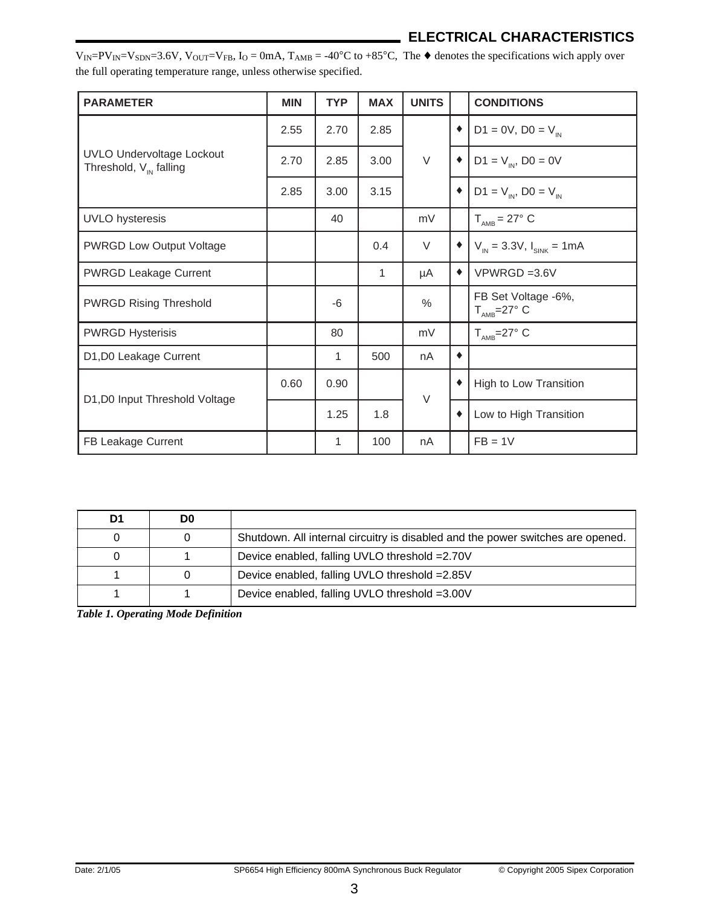# **ELECTRICAL CHARACTERISTICS**

 $V_{IN} = PV_{IN} = V_{SDN} = 3.6V$ ,  $V_{OUT} = V_{FB}$ ,  $I_{O} = 0$  mA,  $T_{AMB} = -40^{\circ}C$  to  $+85^{\circ}C$ , The  $\blacklozenge$  denotes the specifications wich apply over the full operating temperature range, unless otherwise specified.

| <b>PARAMETER</b>                                                       | <b>MIN</b> | <b>TYP</b> | <b>MAX</b> | <b>UNITS</b> |                 | <b>CONDITIONS</b>                                      |
|------------------------------------------------------------------------|------------|------------|------------|--------------|-----------------|--------------------------------------------------------|
|                                                                        | 2.55       | 2.70       | 2.85       |              | $\bullet$       | $D1 = 0V$ , $D0 = V_{in}$                              |
| <b>UVLO Undervoltage Lockout</b><br>Threshold, $V_{\text{IN}}$ falling | 2.70       | 2.85       | 3.00       | $\vee$       |                 | $D1 = V_{IN}$ , $D0 = 0V$                              |
|                                                                        | 2.85       | 3.00       | 3.15       |              | $\blacklozenge$ | $D1 = V_{IN}$ , $D0 = V_{IN}$                          |
| UVLO hysteresis                                                        |            | 40         |            | mV           |                 | $T_{\text{AMB}} = 27^{\circ} \text{ C}$                |
| <b>PWRGD Low Output Voltage</b>                                        |            |            | 0.4        | $\vee$       | ٠               | $V_{IN}$ = 3.3V, $I_{SINK}$ = 1mA                      |
| <b>PWRGD Leakage Current</b>                                           |            |            | 1          | μA           | $\bullet$       | $VPWRGD = 3.6V$                                        |
| <b>PWRGD Rising Threshold</b>                                          |            | -6         |            | $\%$         |                 | FB Set Voltage -6%,<br>$T_{\text{AMB}} = 27^{\circ}$ C |
| <b>PWRGD Hysterisis</b>                                                |            | 80         |            | mV           |                 | $T_{\text{AMB}} = 27^{\circ}$ C                        |
| D1,D0 Leakage Current                                                  |            | 1          | 500        | nA           | ٠               |                                                        |
| D1,D0 Input Threshold Voltage                                          | 0.60       | 0.90       |            | $\vee$       |                 | High to Low Transition                                 |
|                                                                        |            | 1.25       | 1.8        |              |                 | Low to High Transition                                 |
| FB Leakage Current                                                     |            | 1          | 100        | nA           |                 | $FB = 1V$                                              |

| D1 | D <sub>0</sub> |                                                                                 |
|----|----------------|---------------------------------------------------------------------------------|
|    |                | Shutdown. All internal circuitry is disabled and the power switches are opened. |
|    |                | Device enabled, falling UVLO threshold = 2.70V                                  |
|    |                | Device enabled, falling UVLO threshold = 2.85V                                  |
|    |                | Device enabled, falling UVLO threshold =3.00V                                   |

*Table 1. Operating Mode Definition*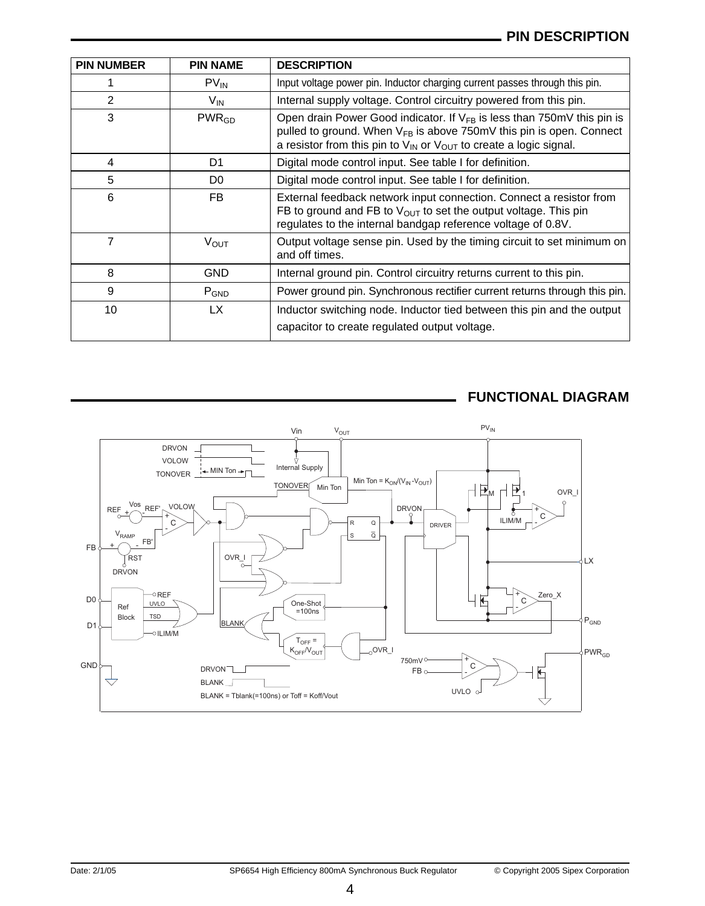| <b>PIN NUMBER</b> | <b>PIN NAME</b> | <b>DESCRIPTION</b>                                                                                                                                                                                                                     |
|-------------------|-----------------|----------------------------------------------------------------------------------------------------------------------------------------------------------------------------------------------------------------------------------------|
|                   | $PV_{IN}$       | Input voltage power pin. Inductor charging current passes through this pin.                                                                                                                                                            |
| 2                 | V <sub>IN</sub> | Internal supply voltage. Control circuitry powered from this pin.                                                                                                                                                                      |
| 3                 | $PWR_{GD}$      | Open drain Power Good indicator. If $V_{FB}$ is less than 750mV this pin is<br>pulled to ground. When $V_{FB}$ is above 750mV this pin is open. Connect<br>a resistor from this pin to $V_{IN}$ or $V_{OUT}$ to create a logic signal. |
| 4                 | D <sub>1</sub>  | Digital mode control input. See table I for definition.                                                                                                                                                                                |
| 5                 | D <sub>0</sub>  | Digital mode control input. See table I for definition.                                                                                                                                                                                |
| 6                 | FB.             | External feedback network input connection. Connect a resistor from<br>FB to ground and FB to $V_{OUT}$ to set the output voltage. This pin<br>regulates to the internal bandgap reference voltage of 0.8V.                            |
| 7                 | $V_{OUT}$       | Output voltage sense pin. Used by the timing circuit to set minimum on<br>and off times.                                                                                                                                               |
| 8                 | GND             | Internal ground pin. Control circuitry returns current to this pin.                                                                                                                                                                    |
| 9                 | $P_{GND}$       | Power ground pin. Synchronous rectifier current returns through this pin.                                                                                                                                                              |
| 10                | LX.             | Inductor switching node. Inductor tied between this pin and the output<br>capacitor to create regulated output voltage.                                                                                                                |

# **FUNCTIONAL DIAGRAM**

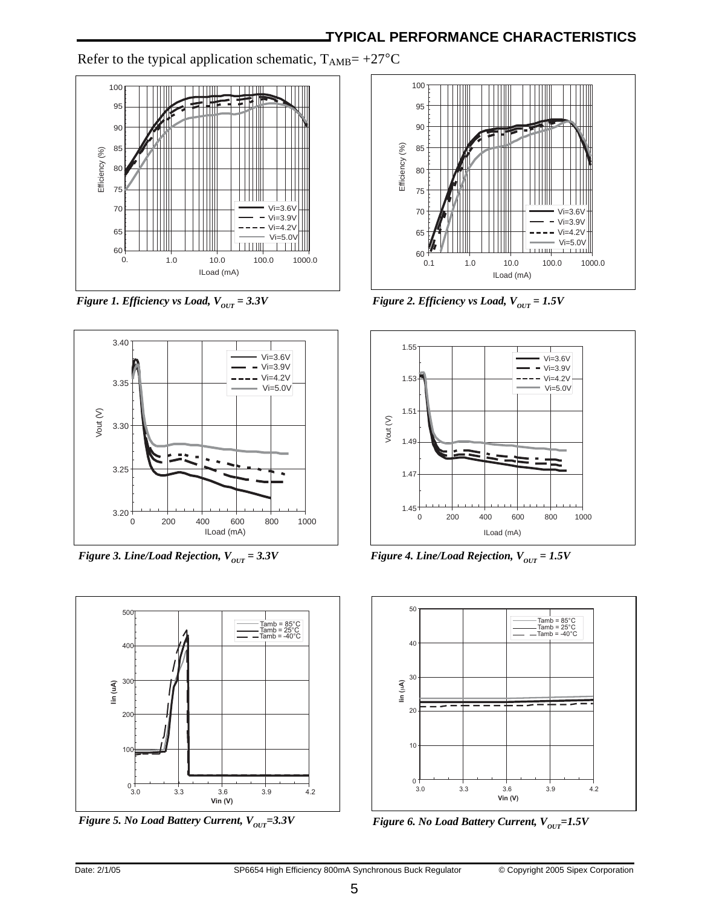Refer to the typical application schematic,  $T_{AMB}$ = +27°C





*Figure 3. Line/Load Rejection,*  $V_{OUT} = 3.3V$  **Figure 4. Line/Load Rejection,**  $V_{OUT} = 1.5V$ 



*Figure 5. No Load Battery Current, V*<sub>OUT</sub>=3.3V *Figure 6. No Load Battery Current, V*<sub>OUT</sub>=1.5V



*Figure 1. Efficiency vs Load, V*<sub>OUT</sub> = 3.3V *Figure 2. Efficiency vs Load, V*<sub>OUT</sub> = 1.5V



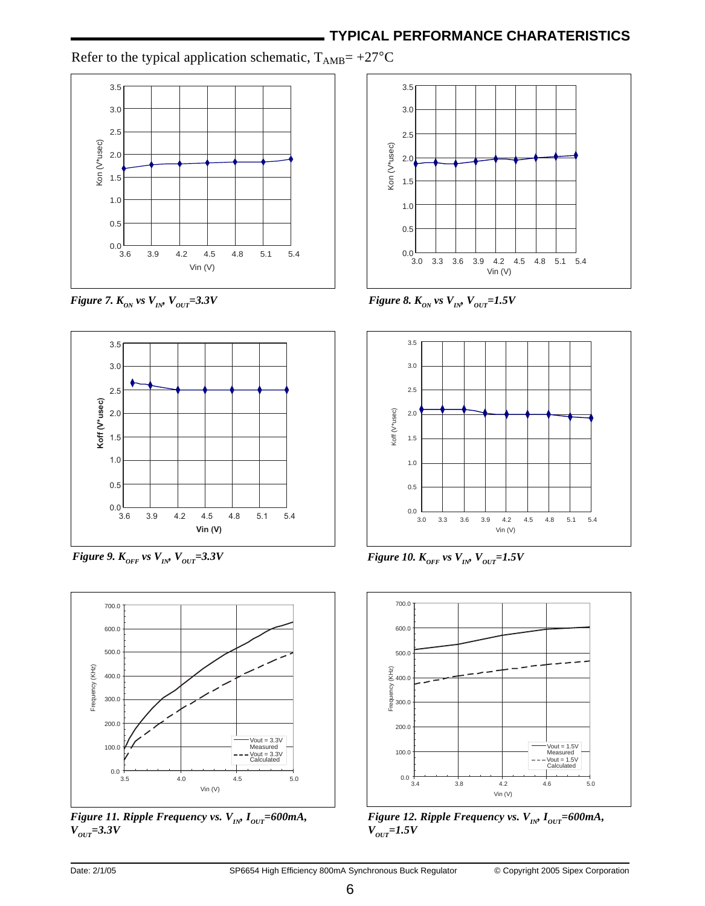Refer to the typical application schematic,  $T_{AMB} = +27^{\circ}C$ 





*Figure 9. K<sub>OFF</sub> vs V<sub>IN</sub>, V<sub>OUT</sub>=3.3V Figure 10. K<sub>OFF</sub> vs V<sub>IN</sub>, V<sub>OUT</sub>=1.5V* 







*Figure 7.*  $K_{ON}$  vs  $V_{IN}$   $V_{OUT}$  = 3.3V Figure 8.  $K_{ON}$  vs  $V_{IN}$   $V_{OUT}$  = 1.5V





*Figure 12. Ripple Frequency vs.*  $V_{IN} I_{OUT} = 600mA$ ,  $V_{OUT}$ =1.5 $V$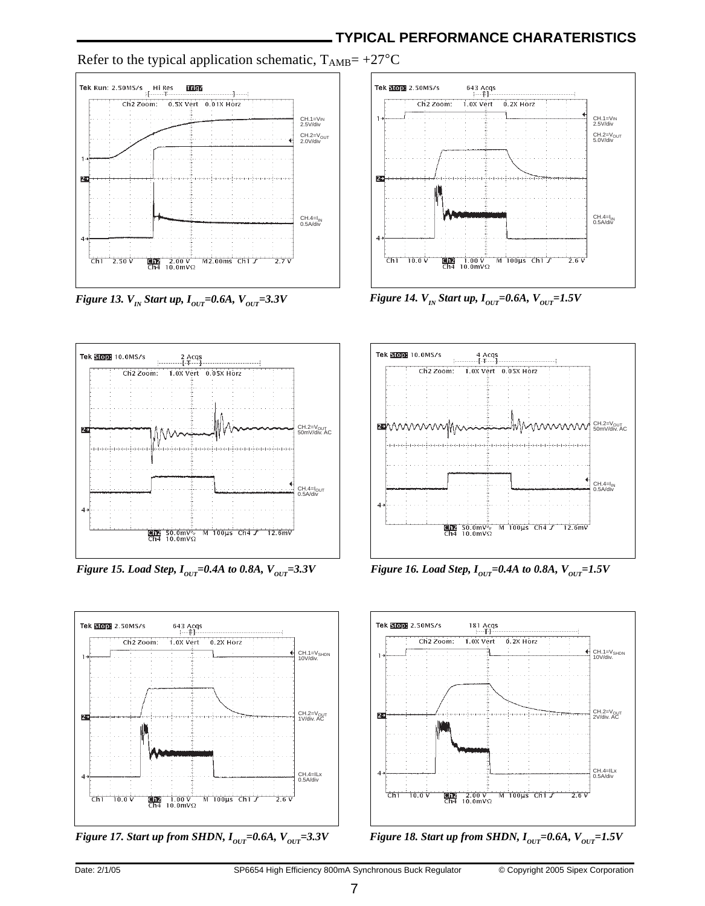# **TYPICAL PERFORMANCE CHARATERISTICS**

Refer to the typical application schematic,  $T_{AMB} = +27^{\circ}C$ 



*Figure 13.*  $V_{IN}$  *Start up, I*<sub>*OUT</sub>=0.6A, V*<sub>*OUT</sub>=3.3V Figure 14.*  $V_{IN}$  *Start up, I*<sub>*OUT</sub>=0.6A, V*<sub>*OUT</sub>=1.5V*</sub></sub></sub></sub>





*Figure 17. Start up from SHDN,*  $I_{orr} = 0.6A$ *, V<sub>OUT</sub>=3.3V Figure 18. Start up from SHDN,*  $I_{OUT} = 0.6A$ *, V<sub>OUT</sub>=1.5V* 





*Figure 15. Load Step, I*<sub>our</sub>=0.4A to 0.8A,  $V_{OUT}$ =3.3V *Figure 16. Load Step, I*<sub>our</sub>=0.4A to 0.8A,  $V_{OUT}$ =1.5V



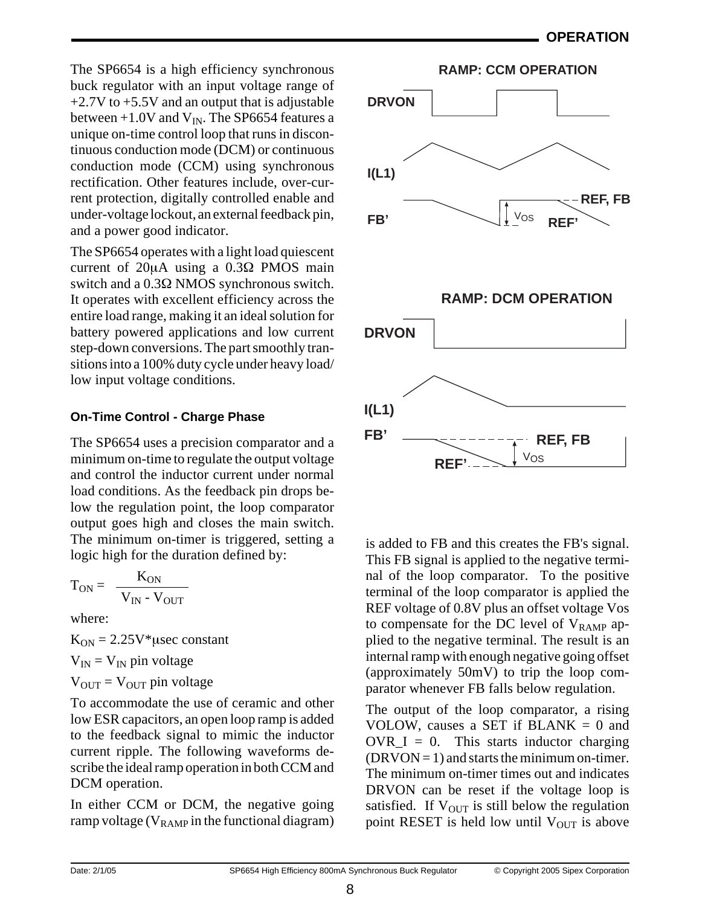The SP6654 is a high efficiency synchronous buck regulator with an input voltage range of  $+2.7V$  to  $+5.5V$  and an output that is adjustable between  $+1.0V$  and  $V_{IN}$ . The SP6654 features a unique on-time control loop that runs in discontinuous conduction mode (DCM) or continuous conduction mode (CCM) using synchronous rectification. Other features include, over-current protection, digitally controlled enable and under-voltage lockout, an external feedback pin, and a power good indicator.

The SP6654 operates with a light load quiescent current of 20µA using a 0.3Ω PMOS main switch and a 0.3Ω NMOS synchronous switch. It operates with excellent efficiency across the entire load range, making it an ideal solution for battery powered applications and low current step-down conversions. The part smoothly transitions into a 100% duty cycle under heavy load/ low input voltage conditions.

## **On-Time Control - Charge Phase**

The SP6654 uses a precision comparator and a minimum on-time to regulate the output voltage and control the inductor current under normal load conditions. As the feedback pin drops below the regulation point, the loop comparator output goes high and closes the main switch. The minimum on-timer is triggered, setting a logic high for the duration defined by:

$$
T_{ON} = \frac{K_{ON}}{V_{IN} - V_{OUT}}
$$

where:

 $K_{ON} = 2.25V^*$ usec constant

 $V_{IN} = V_{IN}$  pin voltage

$$
V_{OUT} = V_{OUT}
$$
pin voltage

To accommodate the use of ceramic and other low ESR capacitors, an open loop ramp is added to the feedback signal to mimic the inductor current ripple. The following waveforms describe the ideal ramp operation in both CCM and DCM operation.

In either CCM or DCM, the negative going ramp voltage ( $V_{RAMP}$  in the functional diagram)



is added to FB and this creates the FB's signal. This FB signal is applied to the negative terminal of the loop comparator. To the positive terminal of the loop comparator is applied the REF voltage of 0.8V plus an offset voltage Vos to compensate for the DC level of  $V_{RAMP}$  applied to the negative terminal. The result is an internal ramp with enough negative going offset (approximately 50mV) to trip the loop comparator whenever FB falls below regulation.

The output of the loop comparator, a rising VOLOW, causes a SET if  $BLANK = 0$  and  $OVR_I = 0$ . This starts inductor charging  $(DRVON = 1)$  and starts the minimum on-timer. The minimum on-timer times out and indicates DRVON can be reset if the voltage loop is satisfied. If  $V_{\text{OUT}}$  is still below the regulation point RESET is held low until  $V_{\text{OUT}}$  is above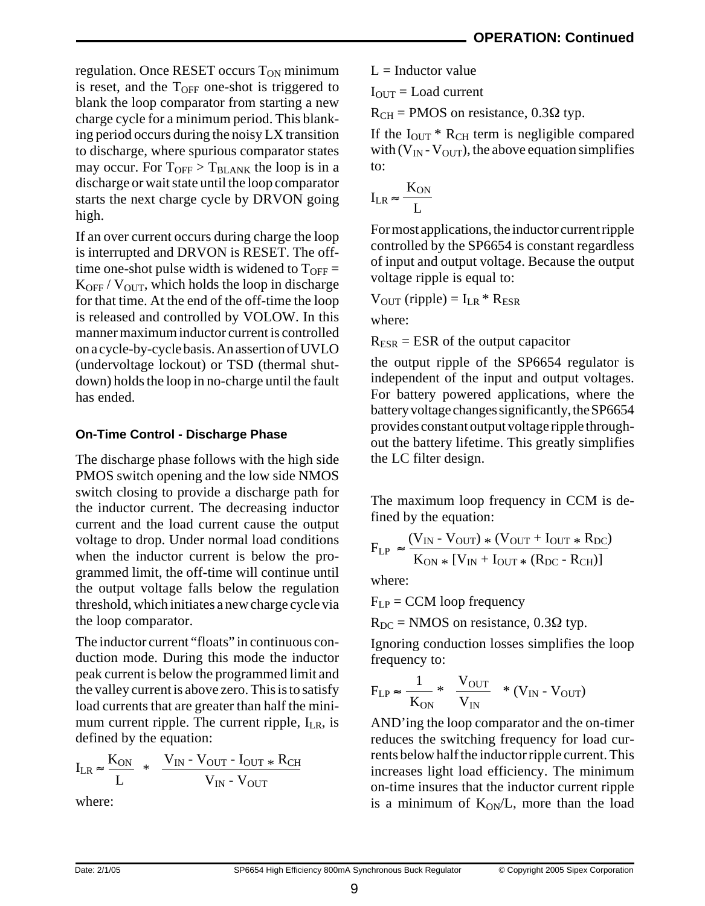regulation. Once RESET occurs  $T_{ON}$  minimum is reset, and the  $T<sub>OFF</sub>$  one-shot is triggered to blank the loop comparator from starting a new charge cycle for a minimum period. This blanking period occurs during the noisy LX transition to discharge, where spurious comparator states may occur. For  $T_{\text{OFF}} > T_{\text{BLANK}}$  the loop is in a discharge or wait state until the loop comparator starts the next charge cycle by DRVON going high.

If an over current occurs during charge the loop is interrupted and DRVON is RESET. The offtime one-shot pulse width is widened to  $T<sub>OFF</sub> =$  $K_{\text{OFF}}$  /  $V_{\text{OUT}}$ , which holds the loop in discharge for that time. At the end of the off-time the loop is released and controlled by VOLOW. In this manner maximum inductor current is controlled on a cycle-by-cycle basis. An assertion of UVLO (undervoltage lockout) or TSD (thermal shutdown) holds the loop in no-charge until the fault has ended.

# **On-Time Control - Discharge Phase**

The discharge phase follows with the high side PMOS switch opening and the low side NMOS switch closing to provide a discharge path for the inductor current. The decreasing inductor current and the load current cause the output voltage to drop. Under normal load conditions when the inductor current is below the programmed limit, the off-time will continue until the output voltage falls below the regulation threshold, which initiates a new charge cycle via the loop comparator.

The inductor current "floats" in continuous conduction mode. During this mode the inductor peak current is below the programmed limit and the valley current is above zero. This is to satisfy load currents that are greater than half the minimum current ripple. The current ripple,  $I_{LR}$ , is defined by the equation:

$$
I_{LR} \approx \frac{K_{ON}}{L} * \frac{V_{IN} - V_{OUT} - I_{OUT} * R_{CH}}{V_{IN} - V_{OUT}}
$$

where:

 $L = Inductor value$ 

 $I<sub>OUT</sub> = Load current$ 

 $R_{CH}$  = PMOS on resistance, 0.3 $\Omega$  typ.

If the  $I_{\text{OUT}}$  \*  $R_{\text{CH}}$  term is negligible compared with  $(V_{IN} - V_{OUT})$ , the above equation simplifies to:

$$
I_{LR} \approx \frac{K_{ON}}{L}
$$

For most applications, the inductor current ripple controlled by the SP6654 is constant regardless of input and output voltage. Because the output voltage ripple is equal to:

$$
V_{OUT} (ripple) = I_{LR} * R_{ESR}
$$

where:

 $R_{ESR} = ESR$  of the output capacitor

the output ripple of the SP6654 regulator is independent of the input and output voltages. For battery powered applications, where the battery voltage changes significantly, the SP6654 provides constant output voltage ripple throughout the battery lifetime. This greatly simplifies the LC filter design.

The maximum loop frequency in CCM is defined by the equation:

$$
F_{LP} \approx \frac{(V_{IN} - V_{OUT}) \times (V_{OUT} + I_{OUT} \times R_{DC})}{K_{ON} \times [V_{IN} + I_{OUT} \times (R_{DC} - R_{CH})]}
$$

where:

 $F_{LP} = CCM$  loop frequency

 $R_{DC}$  = NMOS on resistance, 0.3 $\Omega$  typ.

Ignoring conduction losses simplifies the loop frequency to:

$$
F_{LP} \approx \frac{1}{K_{ON}} * \frac{V_{OUT}}{V_{IN}} * (V_{IN} - V_{OUT})
$$

AND'ing the loop comparator and the on-timer reduces the switching frequency for load currents below half the inductor ripple current. This increases light load efficiency. The minimum on-time insures that the inductor current ripple is a minimum of  $K_{ON}/L$ , more than the load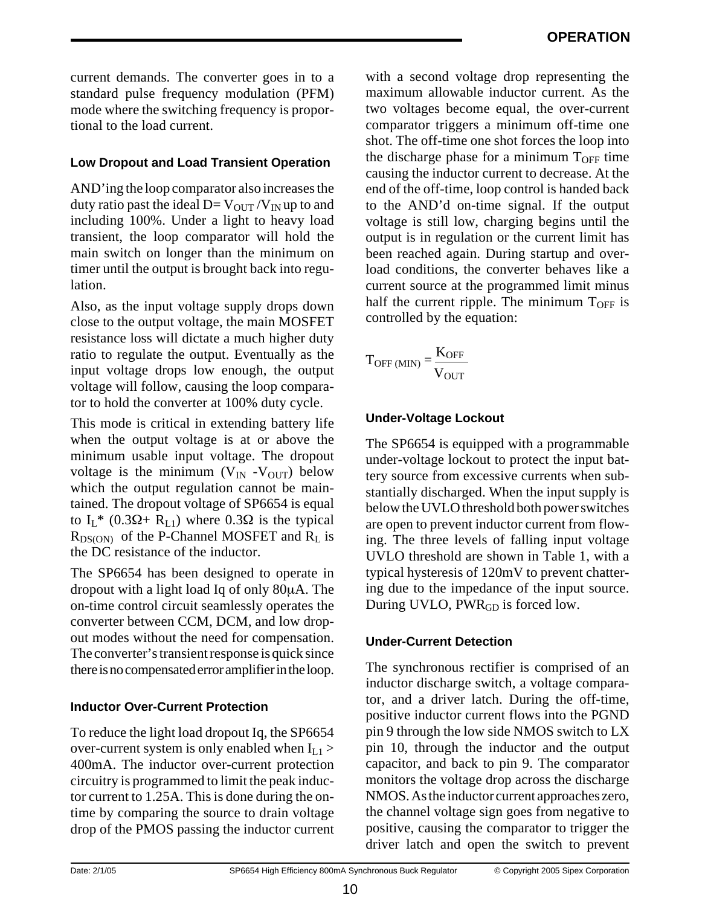current demands. The converter goes in to a standard pulse frequency modulation (PFM) mode where the switching frequency is proportional to the load current.

## **Low Dropout and Load Transient Operation**

AND'ing the loop comparator also increases the duty ratio past the ideal  $D=V_{\text{OUT}}/V_{\text{IN}}$  up to and including 100%. Under a light to heavy load transient, the loop comparator will hold the main switch on longer than the minimum on timer until the output is brought back into regulation.

Also, as the input voltage supply drops down close to the output voltage, the main MOSFET resistance loss will dictate a much higher duty ratio to regulate the output. Eventually as the input voltage drops low enough, the output voltage will follow, causing the loop comparator to hold the converter at 100% duty cycle.

This mode is critical in extending battery life when the output voltage is at or above the minimum usable input voltage. The dropout voltage is the minimum  $(V_{IN} - V_{OUT})$  below which the output regulation cannot be maintained. The dropout voltage of SP6654 is equal to  $I_L^*$  (0.3 $\Omega$ + R<sub>L1</sub>) where 0.3 $\Omega$  is the typical  $R_{DS(ON)}$  of the P-Channel MOSFET and  $R_L$  is the DC resistance of the inductor.

The SP6654 has been designed to operate in dropout with a light load Iq of only 80µA. The on-time control circuit seamlessly operates the converter between CCM, DCM, and low dropout modes without the need for compensation. The converter's transient response is quick since there is no compensated error amplifier in the loop.

# **Inductor Over-Current Protection**

To reduce the light load dropout Iq, the SP6654 over-current system is only enabled when  $I_{L1}$  > 400mA. The inductor over-current protection circuitry is programmed to limit the peak inductor current to 1.25A. This is done during the ontime by comparing the source to drain voltage drop of the PMOS passing the inductor current with a second voltage drop representing the maximum allowable inductor current. As the two voltages become equal, the over-current comparator triggers a minimum off-time one shot. The off-time one shot forces the loop into the discharge phase for a minimum  $T<sub>OFF</sub>$  time causing the inductor current to decrease. At the end of the off-time, loop control is handed back to the AND'd on-time signal. If the output voltage is still low, charging begins until the output is in regulation or the current limit has been reached again. During startup and overload conditions, the converter behaves like a current source at the programmed limit minus half the current ripple. The minimum  $T_{\text{OFF}}$  is controlled by the equation:

$$
T_{OFF\,(MIN)} = \frac{K_{OFF}}{V_{OUT}}
$$

# **Under-Voltage Lockout**

The SP6654 is equipped with a programmable under-voltage lockout to protect the input battery source from excessive currents when substantially discharged. When the input supply is below the UVLO threshold both power switches are open to prevent inductor current from flowing. The three levels of falling input voltage UVLO threshold are shown in Table 1, with a typical hysteresis of 120mV to prevent chattering due to the impedance of the input source. During UVLO, PWR<sub>GD</sub> is forced low.

## **Under-Current Detection**

The synchronous rectifier is comprised of an inductor discharge switch, a voltage comparator, and a driver latch. During the off-time, positive inductor current flows into the PGND pin 9 through the low side NMOS switch to LX pin 10, through the inductor and the output capacitor, and back to pin 9. The comparator monitors the voltage drop across the discharge NMOS. As the inductor current approaches zero, the channel voltage sign goes from negative to positive, causing the comparator to trigger the driver latch and open the switch to prevent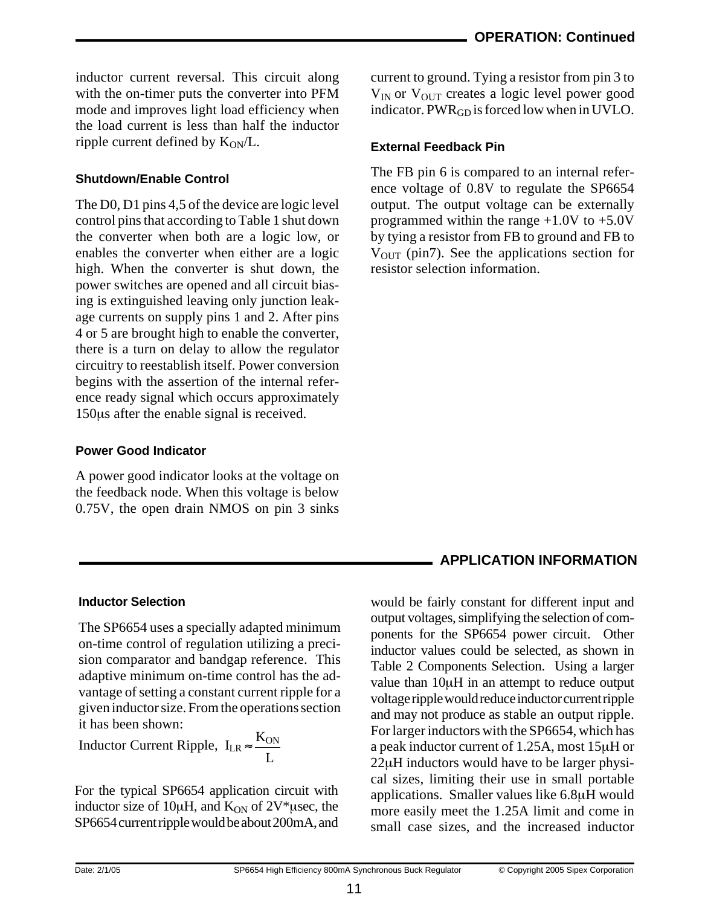inductor current reversal. This circuit along with the on-timer puts the converter into PFM mode and improves light load efficiency when the load current is less than half the inductor ripple current defined by  $K_{ON}/L$ .

#### **Shutdown/Enable Control**

The D0, D1 pins 4,5 of the device are logic level control pins that according to Table 1 shut down the converter when both are a logic low, or enables the converter when either are a logic high. When the converter is shut down, the power switches are opened and all circuit biasing is extinguished leaving only junction leakage currents on supply pins 1 and 2. After pins 4 or 5 are brought high to enable the converter, there is a turn on delay to allow the regulator circuitry to reestablish itself. Power conversion begins with the assertion of the internal reference ready signal which occurs approximately 150µs after the enable signal is received.

#### **Power Good Indicator**

A power good indicator looks at the voltage on the feedback node. When this voltage is below 0.75V, the open drain NMOS on pin 3 sinks current to ground. Tying a resistor from pin 3 to  $V_{IN}$  or  $V_{OUT}$  creates a logic level power good indicator.  $PWR<sub>GD</sub>$  is forced low when in UVLO.

#### **External Feedback Pin**

The FB pin 6 is compared to an internal reference voltage of 0.8V to regulate the SP6654 output. The output voltage can be externally programmed within the range +1.0V to +5.0V by tying a resistor from FB to ground and FB to  $V<sub>OUT</sub>$  (pin7). See the applications section for resistor selection information.

# **APPLICATION INFORMATION**

#### **Inductor Selection**

The SP6654 uses a specially adapted minimum on-time control of regulation utilizing a precision comparator and bandgap reference. This adaptive minimum on-time control has the advantage of setting a constant current ripple for a given inductor size. From the operations section it has been shown:

Inductor Current Ripple,  $I_{LR} \approx \frac{K_{ON}}{I}$  $\overline{L}$ 

For the typical SP6654 application circuit with inductor size of 10 $\mu$ H, and  $K_{ON}$  of 2V\* $\mu$ sec, the SP6654 current ripple would be about 200mA, and

would be fairly constant for different input and output voltages, simplifying the selection of components for the SP6654 power circuit. Other inductor values could be selected, as shown in Table 2 Components Selection. Using a larger value than 10µH in an attempt to reduce output voltage ripple would reduce inductor current ripple and may not produce as stable an output ripple. For larger inductors with the SP6654, which has a peak inductor current of 1.25A, most 15µH or 22µH inductors would have to be larger physical sizes, limiting their use in small portable applications. Smaller values like 6.8µH would more easily meet the 1.25A limit and come in small case sizes, and the increased inductor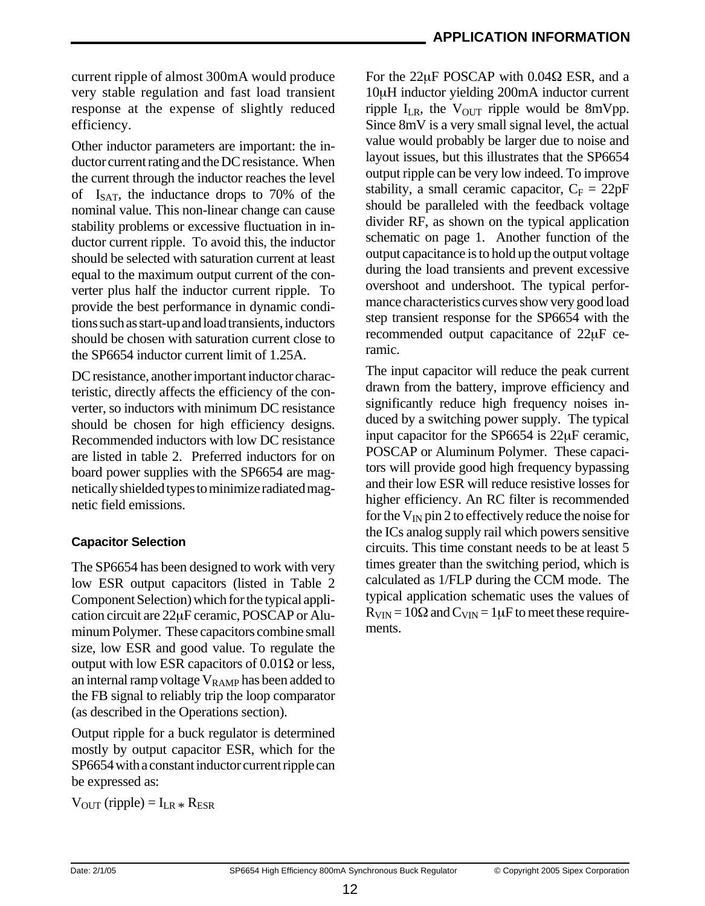current ripple of almost 300mA would produce very stable regulation and fast load transient response at the expense of slightly reduced efficiency.

Other inductor parameters are important: the inductor current rating and the DC resistance. When the current through the inductor reaches the level of  $I_{\text{SAT}}$ , the inductance drops to 70% of the nominal value. This non-linear change can cause stability problems or excessive fluctuation in inductor current ripple. To avoid this, the inductor should be selected with saturation current at least equal to the maximum output current of the converter plus half the inductor current ripple. To provide the best performance in dynamic conditions such as start-up and load transients, inductors should be chosen with saturation current close to the SP6654 inductor current limit of 1.25A.

DC resistance, another important inductor characteristic, directly affects the efficiency of the converter, so inductors with minimum DC resistance should be chosen for high efficiency designs. Recommended inductors with low DC resistance are listed in table 2. Preferred inductors for on board power supplies with the SP6654 are magnetically shielded types to minimize radiated magnetic field emissions.

## **Capacitor Selection**

The SP6654 has been designed to work with very low ESR output capacitors (listed in Table 2 Component Selection) which for the typical application circuit are 22µF ceramic, POSCAP or Aluminum Polymer. These capacitors combine small size, low ESR and good value. To regulate the output with low ESR capacitors of 0.01Ω or less, an internal ramp voltage  $V_{\text{RAMP}}$  has been added to the FB signal to reliably trip the loop comparator (as described in the Operations section).

Output ripple for a buck regulator is determined mostly by output capacitor ESR, which for the SP6654 with a constant inductor current ripple can be expressed as:

 $V_{\text{OUT}}$  (ripple) =  $I_{LR}$   $*$   $R_{ESR}$ 

For the 22µF POSCAP with 0.04Ω ESR, and a 10µH inductor yielding 200mA inductor current ripple  $I_{LR}$ , the  $V_{OUT}$  ripple would be 8mVpp. Since 8mV is a very small signal level, the actual value would probably be larger due to noise and layout issues, but this illustrates that the SP6654 output ripple can be very low indeed. To improve stability, a small ceramic capacitor,  $C_F = 22pF$ should be paralleled with the feedback voltage divider RF, as shown on the typical application schematic on page 1. Another function of the output capacitance is to hold up the output voltage during the load transients and prevent excessive overshoot and undershoot. The typical performance characteristics curves show very good load step transient response for the SP6654 with the recommended output capacitance of 22µF ceramic.

The input capacitor will reduce the peak current drawn from the battery, improve efficiency and significantly reduce high frequency noises induced by a switching power supply. The typical input capacitor for the SP6654 is 22µF ceramic, POSCAP or Aluminum Polymer. These capacitors will provide good high frequency bypassing and their low ESR will reduce resistive losses for higher efficiency. An RC filter is recommended for the  $V_{IN}$  pin 2 to effectively reduce the noise for the ICs analog supply rail which powers sensitive circuits. This time constant needs to be at least 5 times greater than the switching period, which is calculated as 1/FLP during the CCM mode. The typical application schematic uses the values of  $R_{VIN} = 10\Omega$  and  $C_{VIN} = 1 \mu F$  to meet these requirements.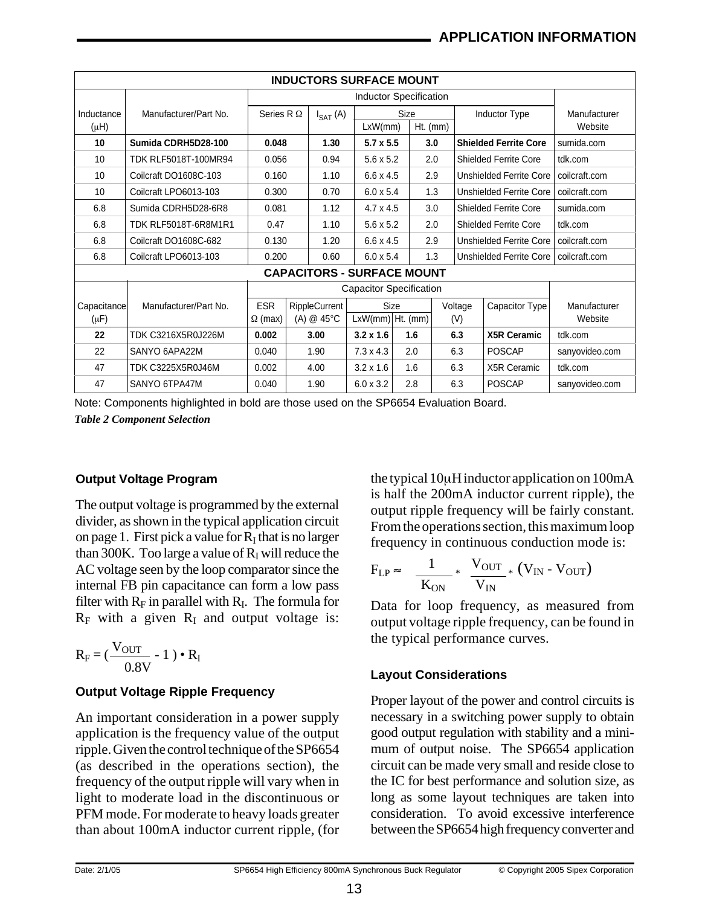| <b>INDUCTORS SURFACE MOUNT</b> |                                   |                                |               |                      |                               |             |            |         |                      |                                |                |
|--------------------------------|-----------------------------------|--------------------------------|---------------|----------------------|-------------------------------|-------------|------------|---------|----------------------|--------------------------------|----------------|
|                                |                                   |                                |               |                      | <b>Inductor Specification</b> |             |            |         |                      |                                |                |
| Inductance                     | Manufacturer/Part No.             | Series R $\Omega$              |               | $I_{SAT}$ (A)        |                               | Size        |            |         | <b>Inductor Type</b> |                                | Manufacturer   |
| $(\mu H)$                      |                                   |                                |               |                      | LxW/mm                        |             | $Ht.$ (mm) |         |                      |                                | Website        |
| 10                             | Sumida CDRH5D28-100               | 0.048                          |               | 1.30                 | $5.7 \times 5.5$              |             | 3.0        |         |                      | <b>Shielded Ferrite Core</b>   | sumida.com     |
| 10                             | TDK RLF5018T-100MR94              | 0.056                          |               | 0.94                 | 5.6 x 5.2                     |             | 2.0        |         |                      | Shielded Ferrite Core          | tdk.com        |
| 10                             | Coilcraft DO1608C-103             | 0.160                          |               | 1.10                 | $6.6 \times 4.5$              |             | 2.9        |         |                      | <b>Unshielded Ferrite Core</b> | coilcraft.com  |
| 10                             | Coilcraft LPO6013-103             |                                | 0.300<br>0.70 |                      | $6.0 \times 5.4$              |             |            | 1.3     |                      | Unshielded Ferrite Core        | coilcraft.com  |
| 6.8                            | Sumida CDRH5D28-6R8               | 0.081                          |               | 1.12                 | $4.7 \times 4.5$              |             | 3.0        |         |                      | Shielded Ferrite Core          | sumida.com     |
| 6.8                            | <b>TDK RLF5018T-6R8M1R1</b>       | 0.47                           |               | 1.10                 | $5.6 \times 5.2$              |             | 2.0        |         |                      | Shielded Ferrite Core          | tdk.com        |
| 6.8                            | Coilcraft DO1608C-682             | 0.130                          |               | 1.20                 | $6.6 \times 4.5$              |             | 2.9        |         |                      | Unshielded Ferrite Core        | coilcraft.com  |
| 6.8                            | Coilcraft LPO6013-103             | 0.200                          |               | 0.60                 | $6.0 \times 5.4$              |             |            | 1.3     |                      | Unshielded Ferrite Core        | coilcraft.com  |
|                                | <b>CAPACITORS - SURFACE MOUNT</b> |                                |               |                      |                               |             |            |         |                      |                                |                |
|                                |                                   | <b>Capacitor Specification</b> |               |                      |                               |             |            |         |                      |                                |                |
| Capacitance                    | Manufacturer/Part No.             | <b>ESR</b>                     |               | <b>RippleCurrent</b> |                               | <b>Size</b> |            | Voltage |                      | Capacitor Type                 | Manufacturer   |
| $(\mu F)$                      |                                   | $\Omega$ (max)                 |               | (A) $@$ 45 $°C$      | $LxW(mm)$ Ht. (mm)            |             |            | (V)     |                      |                                | Website        |
| 22                             | TDK C3216X5R0J226M                | 0.002                          |               | 3.00                 | $3.2 \times 1.6$              |             | 1.6        | 6.3     |                      | <b>X5R Ceramic</b>             | tdk.com        |
| 22                             | SANYO 6APA22M                     | 0.040                          |               | 1.90                 | $7.3 \times 4.3$              | 2.0         |            | 6.3     |                      | <b>POSCAP</b>                  | sanyovideo.com |
| 47                             | TDK C3225X5R0J46M                 | 0.002                          |               | 4.00                 | $3.2 \times 1.6$              |             | 1.6        | 6.3     |                      | X5R Ceramic                    | tdk.com        |
| 47                             | SANYO 6TPA47M                     | 0.040                          |               | 1.90                 | $6.0 \times 3.2$              |             | 2.8        | 6.3     |                      | <b>POSCAP</b>                  | sanyovideo.com |

Note: Components highlighted in bold are those used on the SP6654 Evaluation Board.

*Table 2 Component Selection*

#### **Output Voltage Program**

The output voltage is programmed by the external divider, as shown in the typical application circuit on page 1. First pick a value for  $\overline{R}_I$  that is no larger than 300K. Too large a value of  $R_I$  will reduce the AC voltage seen by the loop comparator since the internal FB pin capacitance can form a low pass filter with  $R_F$  in parallel with  $R_I$ . The formula for  $R_F$  with a given  $R_I$  and output voltage is:

$$
R_F = (\frac{V_{OUT}}{0.8V} - 1) \cdot R_I
$$

#### **Output Voltage Ripple Frequency**

An important consideration in a power supply application is the frequency value of the output ripple. Given the control technique of the SP6654 (as described in the operations section), the frequency of the output ripple will vary when in light to moderate load in the discontinuous or PFM mode. For moderate to heavy loads greater than about 100mA inductor current ripple, (for the typical 10µH inductor application on 100mA is half the 200mA inductor current ripple), the output ripple frequency will be fairly constant. From the operations section, this maximum loop frequency in continuous conduction mode is:

$$
F_{LP} \approx \frac{1}{K_{ON}} * \frac{V_{OUT}}{V_{IN}} * (V_{IN} - V_{OUT})
$$

Data for loop frequency, as measured from output voltage ripple frequency, can be found in the typical performance curves.

#### **Layout Considerations**

Proper layout of the power and control circuits is necessary in a switching power supply to obtain good output regulation with stability and a minimum of output noise. The SP6654 application circuit can be made very small and reside close to the IC for best performance and solution size, as long as some layout techniques are taken into consideration. To avoid excessive interference between the SP6654 high frequency converter and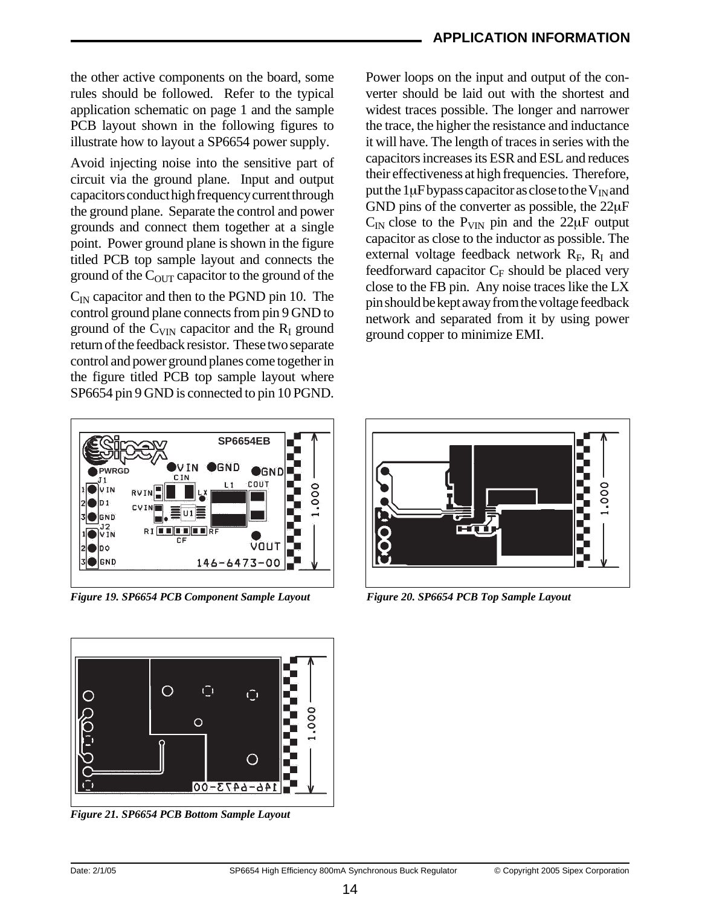#### **APPLICATION INFORMATION**

the other active components on the board, some rules should be followed. Refer to the typical application schematic on page 1 and the sample PCB layout shown in the following figures to illustrate how to layout a SP6654 power supply.

Avoid injecting noise into the sensitive part of circuit via the ground plane. Input and output capacitors conduct high frequency current through the ground plane. Separate the control and power grounds and connect them together at a single point. Power ground plane is shown in the figure titled PCB top sample layout and connects the ground of the  $C<sub>OUT</sub>$  capacitor to the ground of the

 $C_{\text{IN}}$  capacitor and then to the PGND pin 10. The control ground plane connects from pin 9 GND to ground of the  $C_{VIN}$  capacitor and the  $R_I$  ground return of the feedback resistor. These two separate control and power ground planes come together in the figure titled PCB top sample layout where SP6654 pin 9 GND is connected to pin 10 PGND. Power loops on the input and output of the converter should be laid out with the shortest and widest traces possible. The longer and narrower the trace, the higher the resistance and inductance it will have. The length of traces in series with the capacitors increases its ESR and ESL and reduces their effectiveness at high frequencies. Therefore, put the  $1\mu$ F bypass capacitor as close to the V<sub>IN</sub> and GND pins of the converter as possible, the 22µF  $C_{IN}$  close to the  $P_{VIN}$  pin and the 22 $\mu$ F output capacitor as close to the inductor as possible. The external voltage feedback network  $R_F$ ,  $R_I$  and feedforward capacitor  $C_F$  should be placed very close to the FB pin. Any noise traces like the LX pin should be kept away from the voltage feedback network and separated from it by using power ground copper to minimize EMI.



*Figure 19. SP6654 PCB Component Sample Layout Figure 20. SP6654 PCB Top Sample Layout*



*Figure 21. SP6654 PCB Bottom Sample Layout*

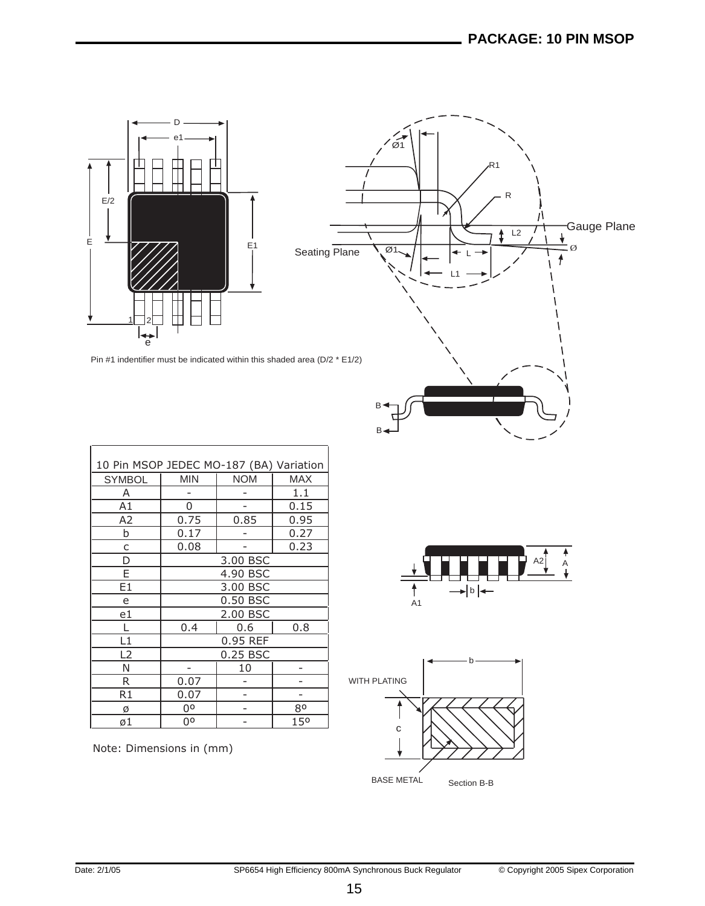

 $\tilde{\varnothing}$ R1 R  $\begin{array}{ccc} \overbrace{12} & \overbrace{1} & \overbrace{1} & \overbrace{1} & \overbrace{1} & \overbrace{1} & \overbrace{1} & \overbrace{1} & \overbrace{1} & \overbrace{1} & \overbrace{1} & \overbrace{1} & \overbrace{1} & \overbrace{1} & \overbrace{1} & \overbrace{1} & \overbrace{1} & \overbrace{1} & \overbrace{1} & \overbrace{1} & \overbrace{1} & \overbrace{1} & \overbrace{1} & \overbrace{1} & \overbrace{1} & \overbrace{1} & \overbrace{1} & \overbrace{1} & \overbrace{1} & \overbrace{1} & \over$  $\ddagger$ Ø1 Ø Seating Plane L L1 B  $B$ 

Pin #1 indentifier must be indicated within this shaded area (D/2 \* E1/2)

| 10 Pin MSOP JEDEC MO-187 (BA) Variation |            |            |            |  |  |  |  |
|-----------------------------------------|------------|------------|------------|--|--|--|--|
| <b>SYMBOL</b>                           | <b>MIN</b> | <b>NOM</b> | <b>MAX</b> |  |  |  |  |
| A                                       |            |            | 1.1        |  |  |  |  |
| A1                                      | 0          |            | 0.15       |  |  |  |  |
| A <sub>2</sub>                          | 0.75       | 0.85       | 0.95       |  |  |  |  |
| b                                       | 0.17       |            | 0.27       |  |  |  |  |
| C                                       | 0.08       |            | 0.23       |  |  |  |  |
| D                                       | 3.00 BSC   |            |            |  |  |  |  |
| E                                       | 4.90 BSC   |            |            |  |  |  |  |
| E1                                      | 3.00 BSC   |            |            |  |  |  |  |
| e                                       | 0.50 BSC   |            |            |  |  |  |  |
| e1                                      | 2.00 BSC   |            |            |  |  |  |  |
|                                         | 0.4        | 0.8        |            |  |  |  |  |
| L1                                      | 0.95 REF   |            |            |  |  |  |  |
| L2                                      | 0.25 BSC   |            |            |  |  |  |  |
| N                                       | 10         |            |            |  |  |  |  |
| R                                       | 0.07       |            |            |  |  |  |  |
| R1                                      | 0.07       |            |            |  |  |  |  |
| Ø                                       | 00<br>80   |            |            |  |  |  |  |
| ø1                                      | 00         |            | 150        |  |  |  |  |

Note: Dimensions in (mm)



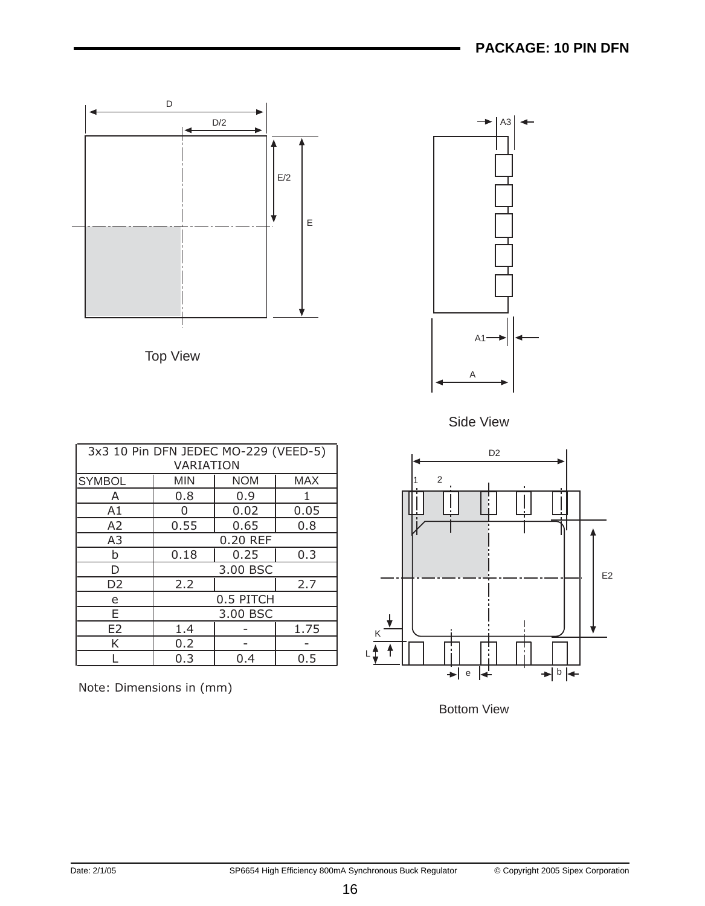

Note: Dimensions in (mm)



E2